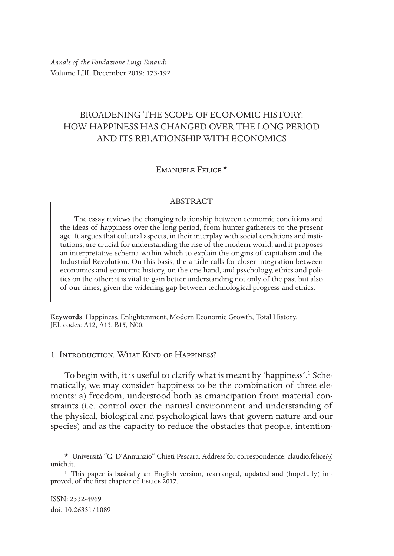*Annals of the Fondazione Luigi Einaudi* Volume LIII, December 2019: 173-192

# BROADENING THE SCOPE OF ECONOMIC HISTORY: HOW HAPPINESS HAS CHANGED OVER THE LONG PERIOD AND ITS RELATIONSHIP WITH ECONOMICS

## Emanuele Felice \*

#### ABSTRACT

The essay reviews the changing relationship between economic conditions and the ideas of happiness over the long period, from hunter-gatherers to the present age. It argues that cultural aspects, in their interplay with social conditions and institutions, are crucial for understanding the rise of the modern world, and it proposes an interpretative schema within which to explain the origins of capitalism and the Industrial Revolution. On this basis, the article calls for closer integration between economics and economic history, on the one hand, and psychology, ethics and politics on the other: it is vital to gain better understanding not only of the past but also of our times, given the widening gap between technological progress and ethics.

**Keywords**: Happiness, Enlightenment, Modern Economic Growth, Total History. JEL codes: A12, A13, B15, N00.

## 1. Introduction. What Kind of Happiness?

To begin with, it is useful to clarify what is meant by 'happiness'.<sup>1</sup> Schematically, we may consider happiness to be the combination of three elements: a) freedom, understood both as emancipation from material constraints (i.e. control over the natural environment and understanding of the physical, biological and psychological laws that govern nature and our species) and as the capacity to reduce the obstacles that people, intention-

<sup>\*</sup> Università "G. D'Annunzio" Chieti-Pescara. Address for correspondence: claudio.felice@ unich.it.

<sup>1</sup> This paper is basically an English version, rearranged, updated and (hopefully) improved, of the first chapter of Felice 2017.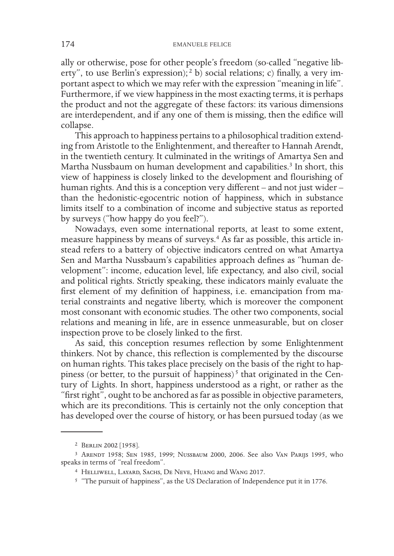ally or otherwise, pose for other people's freedom (so-called "negative liberty", to use Berlin's expression);<sup>2</sup> b) social relations; c) finally, a very important aspect to which we may refer with the expression "meaning in life". Furthermore, if we view happiness in the most exacting terms, it is perhaps the product and not the aggregate of these factors: its various dimensions are interdependent, and if any one of them is missing, then the edifice will collapse.

This approach to happiness pertains to a philosophical tradition extending from Aristotle to the Enlightenment, and thereafter to Hannah Arendt, in the twentieth century. It culminated in the writings of Amartya Sen and Martha Nussbaum on human development and capabilities.<sup>3</sup> In short, this view of happiness is closely linked to the development and flourishing of human rights. And this is a conception very different – and not just wider – than the hedonistic-egocentric notion of happiness, which in substance limits itself to a combination of income and subjective status as reported by surveys ("how happy do you feel?").

Nowadays, even some international reports, at least to some extent, measure happiness by means of surveys.4 As far as possible, this article instead refers to a battery of objective indicators centred on what Amartya Sen and Martha Nussbaum's capabilities approach defines as "human development": income, education level, life expectancy, and also civil, social and political rights. Strictly speaking, these indicators mainly evaluate the first element of my definition of happiness, i.e. emancipation from material constraints and negative liberty, which is moreover the component most consonant with economic studies. The other two components, social relations and meaning in life, are in essence unmeasurable, but on closer inspection prove to be closely linked to the first.

As said, this conception resumes reflection by some Enlightenment thinkers. Not by chance, this reflection is complemented by the discourse on human rights. This takes place precisely on the basis of the right to happiness (or better, to the pursuit of happiness)<sup>5</sup> that originated in the Century of Lights. In short, happiness understood as a right, or rather as the "first right", ought to be anchored as far as possible in objective parameters, which are its preconditions. This is certainly not the only conception that has developed over the course of history, or has been pursued today (as we

<sup>2</sup> Berlin 2002 [1958].

<sup>3</sup> Arendt 1958; Sen 1985, 1999; Nussbaum 2000, 2006. See also Van Parijs 1995, who speaks in terms of "real freedom".

<sup>4</sup> Helliwell, Layard, Sachs, De Neve, Huang and Wang 2017.

<sup>5</sup> "The pursuit of happiness", as the US Declaration of Independence put it in 1776.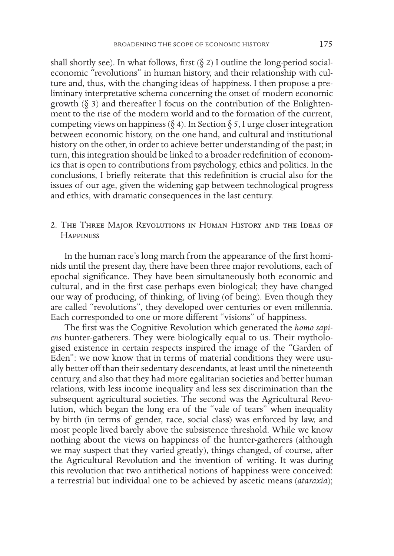shall shortly see). In what follows, first  $(\xi 2)$  I outline the long-period socialeconomic "revolutions" in human history, and their relationship with culture and, thus, with the changing ideas of happiness. I then propose a preliminary interpretative schema concerning the onset of modern economic growth  $(\delta$  3) and thereafter I focus on the contribution of the Enlightenment to the rise of the modern world and to the formation of the current, competing views on happiness ( $\S$  4). In Section  $\S$  5, I urge closer integration between economic history, on the one hand, and cultural and institutional history on the other, in order to achieve better understanding of the past; in turn, this integration should be linked to a broader redefinition of economics that is open to contributions from psychology, ethics and politics. In the conclusions, I briefly reiterate that this redefinition is crucial also for the issues of our age, given the widening gap between technological progress and ethics, with dramatic consequences in the last century.

2. The Three Major Revolutions in Human History and the Ideas of **HAPPINESS** 

In the human race's long march from the appearance of the first hominids until the present day, there have been three major revolutions, each of epochal significance. They have been simultaneously both economic and cultural, and in the first case perhaps even biological; they have changed our way of producing, of thinking, of living (of being). Even though they are called "revolutions", they developed over centuries or even millennia. Each corresponded to one or more different "visions" of happiness.

The first was the Cognitive Revolution which generated the *homo sapiens* hunter-gatherers. They were biologically equal to us. Their mythologised existence in certain respects inspired the image of the "Garden of Eden": we now know that in terms of material conditions they were usually better off than their sedentary descendants, at least until the nineteenth century, and also that they had more egalitarian societies and better human relations, with less income inequality and less sex discrimination than the subsequent agricultural societies. The second was the Agricultural Revolution, which began the long era of the "vale of tears" when inequality by birth (in terms of gender, race, social class) was enforced by law, and most people lived barely above the subsistence threshold. While we know nothing about the views on happiness of the hunter-gatherers (although we may suspect that they varied greatly), things changed, of course, after the Agricultural Revolution and the invention of writing. It was during this revolution that two antithetical notions of happiness were conceived: a terrestrial but individual one to be achieved by ascetic means (*ataraxia*);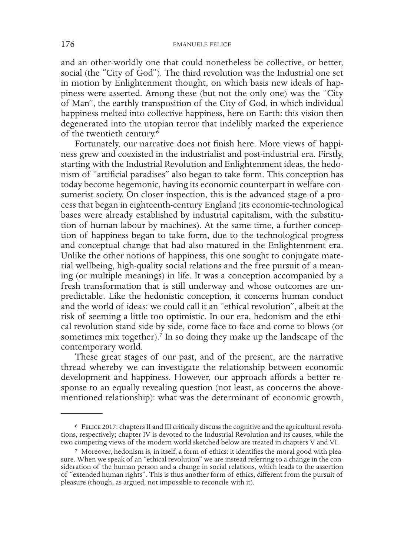and an other-worldly one that could nonetheless be collective, or better, social (the "City of God"). The third revolution was the Industrial one set in motion by Enlightenment thought, on which basis new ideals of happiness were asserted. Among these (but not the only one) was the "City of Man", the earthly transposition of the City of God, in which individual happiness melted into collective happiness, here on Earth: this vision then degenerated into the utopian terror that indelibly marked the experience of the twentieth century.6

Fortunately, our narrative does not finish here. More views of happiness grew and coexisted in the industrialist and post-industrial era. Firstly, starting with the Industrial Revolution and Enlightenment ideas, the hedonism of "artificial paradises" also began to take form. This conception has today become hegemonic, having its economic counterpart in welfare-consumerist society. On closer inspection, this is the advanced stage of a process that began in eighteenth-century England (its economic-technological bases were already established by industrial capitalism, with the substitution of human labour by machines). At the same time, a further conception of happiness began to take form, due to the technological progress and conceptual change that had also matured in the Enlightenment era. Unlike the other notions of happiness, this one sought to conjugate material wellbeing, high-quality social relations and the free pursuit of a meaning (or multiple meanings) in life. It was a conception accompanied by a fresh transformation that is still underway and whose outcomes are unpredictable. Like the hedonistic conception, it concerns human conduct and the world of ideas: we could call it an "ethical revolution", albeit at the risk of seeming a little too optimistic. In our era, hedonism and the ethical revolution stand side-by-side, come face-to-face and come to blows (or sometimes mix together).<sup>7</sup> In so doing they make up the landscape of the contemporary world.

These great stages of our past, and of the present, are the narrative thread whereby we can investigate the relationship between economic development and happiness. However, our approach affords a better response to an equally revealing question (not least, as concerns the abovementioned relationship): what was the determinant of economic growth,

<sup>6</sup> Felice 2017: chapters II and III critically discuss the cognitive and the agricultural revolu- tions, respectively; chapter IV is devoted to the Industrial Revolution and its causes, while the two competing views of the modern world sketched below are treated in chapters V and VI.

<sup>&</sup>lt;sup>7</sup> Moreover, hedonism is, in itself, a form of ethics: it identifies the moral good with pleasure. When we speak of an "ethical revolution" we are instead referring to a change in the consideration of the human person and of "extended human rights". This is thus another form of ethics, different from the pursuit of pleasure (though, as argued, not impossible to reconcile with it).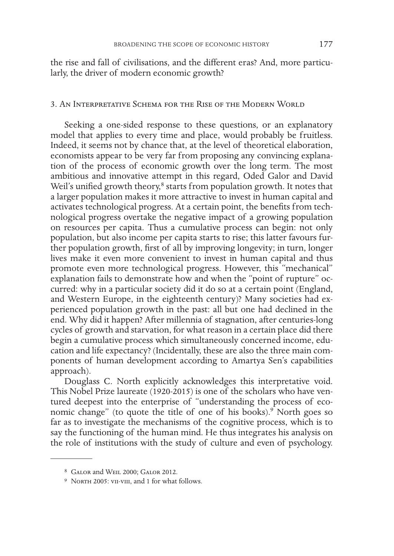the rise and fall of civilisations, and the different eras? And, more particularly, the driver of modern economic growth?

## 3. An Interpretative Schema for the Rise of the Modern World

Seeking a one-sided response to these questions, or an explanatory model that applies to every time and place, would probably be fruitless. Indeed, it seems not by chance that, at the level of theoretical elaboration, economists appear to be very far from proposing any convincing explanation of the process of economic growth over the long term. The most ambitious and innovative attempt in this regard, Oded Galor and David Weil's unified growth theory,<sup>8</sup> starts from population growth. It notes that a larger population makes it more attractive to invest in human capital and activates technological progress. At a certain point, the benefits from technological progress overtake the negative impact of a growing population on resources per capita. Thus a cumulative process can begin: not only population, but also income per capita starts to rise; this latter favours further population growth, first of all by improving longevity; in turn, longer lives make it even more convenient to invest in human capital and thus promote even more technological progress. However, this "mechanical" explanation fails to demonstrate how and when the "point of rupture" occurred: why in a particular society did it do so at a certain point (England, and Western Europe, in the eighteenth century)? Many societies had experienced population growth in the past: all but one had declined in the end. Why did it happen? After millennia of stagnation, after centuries-long cycles of growth and starvation, for what reason in a certain place did there begin a cumulative process which simultaneously concerned income, education and life expectancy? (Incidentally, these are also the three main components of human development according to Amartya Sen's capabilities approach).

Douglass C. North explicitly acknowledges this interpretative void. This Nobel Prize laureate (1920-2015) is one of the scholars who have ventured deepest into the enterprise of "understanding the process of economic change" (to quote the title of one of his books).<sup>9</sup> North goes so far as to investigate the mechanisms of the cognitive process, which is to say the functioning of the human mind. He thus integrates his analysis on the role of institutions with the study of culture and even of psychology.

<sup>8</sup> Galor and Weil 2000; Galor 2012.

<sup>&</sup>lt;sup>9</sup> NORTH 2005: VII-VIII, and 1 for what follows.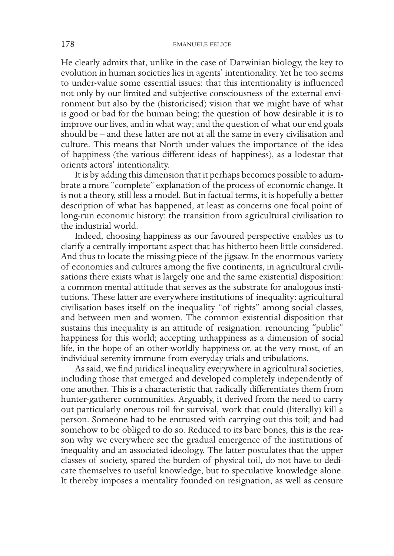He clearly admits that, unlike in the case of Darwinian biology, the key to evolution in human societies lies in agents' intentionality. Yet he too seems to under-value some essential issues: that this intentionality is influenced not only by our limited and subjective consciousness of the external environment but also by the (historicised) vision that we might have of what is good or bad for the human being; the question of how desirable it is to improve our lives, and in what way; and the question of what our end goals should be – and these latter are not at all the same in every civilisation and culture. This means that North under-values the importance of the idea of happiness (the various different ideas of happiness), as a lodestar that orients actors' intentionality.

It is by adding this dimension that it perhaps becomes possible to adumbrate a more "complete" explanation of the process of economic change. It is not a theory, still less a model. But in factual terms, it is hopefully a better description of what has happened, at least as concerns one focal point of long-run economic history: the transition from agricultural civilisation to the industrial world.

Indeed, choosing happiness as our favoured perspective enables us to clarify a centrally important aspect that has hitherto been little considered. And thus to locate the missing piece of the jigsaw. In the enormous variety of economies and cultures among the five continents, in agricultural civilisations there exists what is largely one and the same existential disposition: a common mental attitude that serves as the substrate for analogous institutions. These latter are everywhere institutions of inequality: agricultural civilisation bases itself on the inequality "of rights" among social classes, and between men and women. The common existential disposition that sustains this inequality is an attitude of resignation: renouncing "public" happiness for this world; accepting unhappiness as a dimension of social life, in the hope of an other-worldly happiness or, at the very most, of an individual serenity immune from everyday trials and tribulations.

As said, we find juridical inequality everywhere in agricultural societies, including those that emerged and developed completely independently of one another. This is a characteristic that radically differentiates them from hunter-gatherer communities. Arguably, it derived from the need to carry out particularly onerous toil for survival, work that could (literally) kill a person. Someone had to be entrusted with carrying out this toil; and had somehow to be obliged to do so. Reduced to its bare bones, this is the reason why we everywhere see the gradual emergence of the institutions of inequality and an associated ideology. The latter postulates that the upper classes of society, spared the burden of physical toil, do not have to dedicate themselves to useful knowledge, but to speculative knowledge alone. It thereby imposes a mentality founded on resignation, as well as censure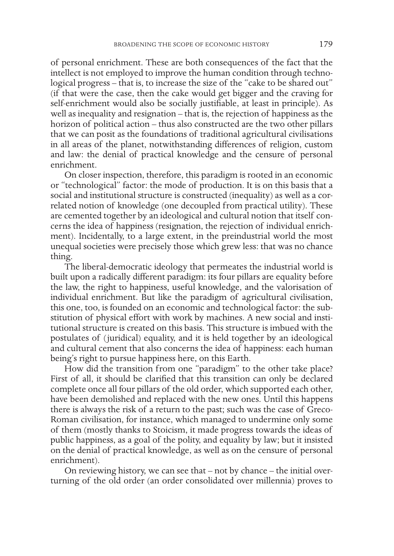of personal enrichment. These are both consequences of the fact that the intellect is not employed to improve the human condition through technological progress – that is, to increase the size of the "cake to be shared out" (if that were the case, then the cake would get bigger and the craving for self-enrichment would also be socially justifiable, at least in principle). As well as inequality and resignation – that is, the rejection of happiness as the horizon of political action – thus also constructed are the two other pillars that we can posit as the foundations of traditional agricultural civilisations in all areas of the planet, notwithstanding differences of religion, custom and law: the denial of practical knowledge and the censure of personal enrichment.

On closer inspection, therefore, this paradigm is rooted in an economic or "technological" factor: the mode of production. It is on this basis that a social and institutional structure is constructed (inequality) as well as a correlated notion of knowledge (one decoupled from practical utility). These are cemented together by an ideological and cultural notion that itself concerns the idea of happiness (resignation, the rejection of individual enrichment). Incidentally, to a large extent, in the preindustrial world the most unequal societies were precisely those which grew less: that was no chance thing.

The liberal-democratic ideology that permeates the industrial world is built upon a radically different paradigm: its four pillars are equality before the law, the right to happiness, useful knowledge, and the valorisation of individual enrichment. But like the paradigm of agricultural civilisation, this one, too, is founded on an economic and technological factor: the substitution of physical effort with work by machines. A new social and institutional structure is created on this basis. This structure is imbued with the postulates of (juridical) equality, and it is held together by an ideological and cultural cement that also concerns the idea of happiness: each human being's right to pursue happiness here, on this Earth.

How did the transition from one "paradigm" to the other take place? First of all, it should be clarified that this transition can only be declared complete once all four pillars of the old order, which supported each other, have been demolished and replaced with the new ones. Until this happens there is always the risk of a return to the past; such was the case of Greco-Roman civilisation, for instance, which managed to undermine only some of them (mostly thanks to Stoicism, it made progress towards the ideas of public happiness, as a goal of the polity, and equality by law; but it insisted on the denial of practical knowledge, as well as on the censure of personal enrichment).

On reviewing history, we can see that – not by chance – the initial overturning of the old order (an order consolidated over millennia) proves to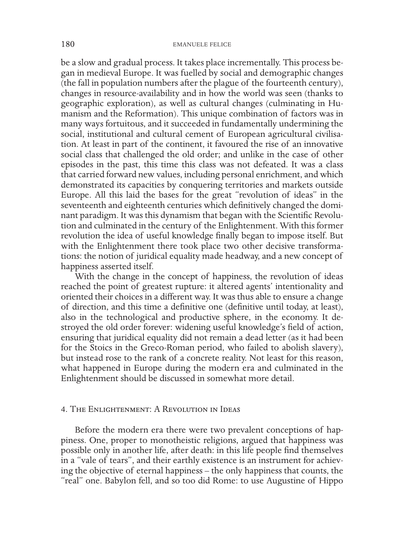be a slow and gradual process. It takes place incrementally. This process began in medieval Europe. It was fuelled by social and demographic changes (the fall in population numbers after the plague of the fourteenth century), changes in resource-availability and in how the world was seen (thanks to geographic exploration), as well as cultural changes (culminating in Humanism and the Reformation). This unique combination of factors was in many ways fortuitous, and it succeeded in fundamentally undermining the social, institutional and cultural cement of European agricultural civilisation. At least in part of the continent, it favoured the rise of an innovative social class that challenged the old order; and unlike in the case of other episodes in the past, this time this class was not defeated. It was a class that carried forward new values, including personal enrichment, and which demonstrated its capacities by conquering territories and markets outside Europe. All this laid the bases for the great "revolution of ideas" in the seventeenth and eighteenth centuries which definitively changed the dominant paradigm. It was this dynamism that began with the Scientific Revolution and culminated in the century of the Enlightenment. With this former revolution the idea of useful knowledge finally began to impose itself. But with the Enlightenment there took place two other decisive transformations: the notion of juridical equality made headway, and a new concept of happiness asserted itself.

With the change in the concept of happiness, the revolution of ideas reached the point of greatest rupture: it altered agents' intentionality and oriented their choices in a different way. It was thus able to ensure a change of direction, and this time a definitive one (definitive until today, at least), also in the technological and productive sphere, in the economy. It destroyed the old order forever: widening useful knowledge's field of action, ensuring that juridical equality did not remain a dead letter (as it had been for the Stoics in the Greco-Roman period, who failed to abolish slavery), but instead rose to the rank of a concrete reality. Not least for this reason, what happened in Europe during the modern era and culminated in the Enlightenment should be discussed in somewhat more detail.

### 4. The Enlightenment: A Revolution in Ideas

Before the modern era there were two prevalent conceptions of happiness. One, proper to monotheistic religions, argued that happiness was possible only in another life, after death: in this life people find themselves in a "vale of tears", and their earthly existence is an instrument for achieving the objective of eternal happiness – the only happiness that counts, the "real" one. Babylon fell, and so too did Rome: to use Augustine of Hippo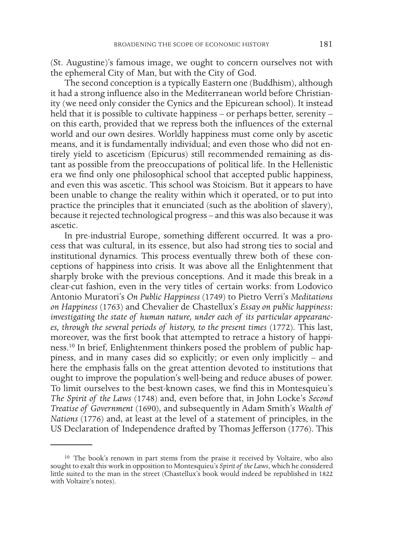(St. Augustine)'s famous image, we ought to concern ourselves not with the ephemeral City of Man, but with the City of God.

The second conception is a typically Eastern one (Buddhism), although it had a strong influence also in the Mediterranean world before Christianity (we need only consider the Cynics and the Epicurean school). It instead held that it is possible to cultivate happiness – or perhaps better, serenity – on this earth, provided that we repress both the influences of the external world and our own desires. Worldly happiness must come only by ascetic means, and it is fundamentally individual; and even those who did not entirely yield to asceticism (Epicurus) still recommended remaining as distant as possible from the preoccupations of political life. In the Hellenistic era we find only one philosophical school that accepted public happiness, and even this was ascetic. This school was Stoicism. But it appears to have been unable to change the reality within which it operated, or to put into practice the principles that it enunciated (such as the abolition of slavery), because it rejected technological progress – and this was also because it was ascetic.

In pre-industrial Europe, something different occurred. It was a process that was cultural, in its essence, but also had strong ties to social and institutional dynamics. This process eventually threw both of these conceptions of happiness into crisis. It was above all the Enlightenment that sharply broke with the previous conceptions. And it made this break in a clear-cut fashion, even in the very titles of certain works: from Lodovico Antonio Muratori's *On Public Happiness* (1749) to Pietro Verri's *Meditations on Happiness* (1763) and Chevalier de Chastellux's *Essay on public happiness: investigating the state of human nature, under each of its particular appearances, through the several periods of history, to the present times* (1772). This last, moreover, was the first book that attempted to retrace a history of happiness.10 In brief, Enlightenment thinkers posed the problem of public happiness, and in many cases did so explicitly; or even only implicitly – and here the emphasis falls on the great attention devoted to institutions that ought to improve the population's well-being and reduce abuses of power. To limit ourselves to the best-known cases, we find this in Montesquieu's *The Spirit of the Laws* (1748) and, even before that, in John Locke's *Second Treatise of Government* (1690), and subsequently in Adam Smith's *Wealth of Nations* (1776) and, at least at the level of a statement of principles, in the US Declaration of Independence drafted by Thomas Jefferson (1776). This

<sup>10</sup> The book's renown in part stems from the praise it received by Voltaire, who also sought to exalt this work in opposition to Montesquieu's *Spirit of the Laws*, which he considered little suited to the man in the street (Chastellux's book would indeed be republished in 1822 with Voltaire's notes).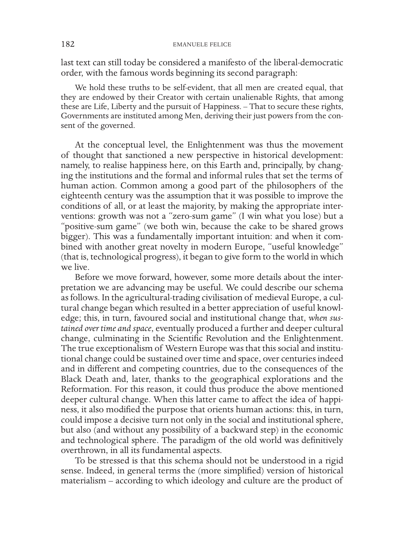last text can still today be considered a manifesto of the liberal-democratic order, with the famous words beginning its second paragraph:

We hold these truths to be self-evident, that all men are created equal, that they are endowed by their Creator with certain unalienable Rights, that among these are Life, Liberty and the pursuit of Happiness. – That to secure these rights, Governments are instituted among Men, deriving their just powers from the consent of the governed.

At the conceptual level, the Enlightenment was thus the movement of thought that sanctioned a new perspective in historical development: namely, to realise happiness here, on this Earth and, principally, by changing the institutions and the formal and informal rules that set the terms of human action. Common among a good part of the philosophers of the eighteenth century was the assumption that it was possible to improve the conditions of all, or at least the majority, by making the appropriate interventions: growth was not a "zero-sum game" (I win what you lose) but a "positive-sum game" (we both win, because the cake to be shared grows bigger). This was a fundamentally important intuition: and when it combined with another great novelty in modern Europe, "useful knowledge" (that is, technological progress), it began to give form to the world in which we live.

Before we move forward, however, some more details about the interpretation we are advancing may be useful. We could describe our schema as follows. In the agricultural-trading civilisation of medieval Europe, a cultural change began which resulted in a better appreciation of useful knowledge; this, in turn, favoured social and institutional change that, *when sustained over time and space*, eventually produced a further and deeper cultural change, culminating in the Scientific Revolution and the Enlightenment. The true exceptionalism of Western Europe was that this social and institutional change could be sustained over time and space, over centuries indeed and in different and competing countries, due to the consequences of the Black Death and, later, thanks to the geographical explorations and the Reformation. For this reason, it could thus produce the above mentioned deeper cultural change. When this latter came to affect the idea of happiness, it also modified the purpose that orients human actions: this, in turn, could impose a decisive turn not only in the social and institutional sphere, but also (and without any possibility of a backward step) in the economic and technological sphere. The paradigm of the old world was definitively overthrown, in all its fundamental aspects.

To be stressed is that this schema should not be understood in a rigid sense. Indeed, in general terms the (more simplified) version of historical materialism – according to which ideology and culture are the product of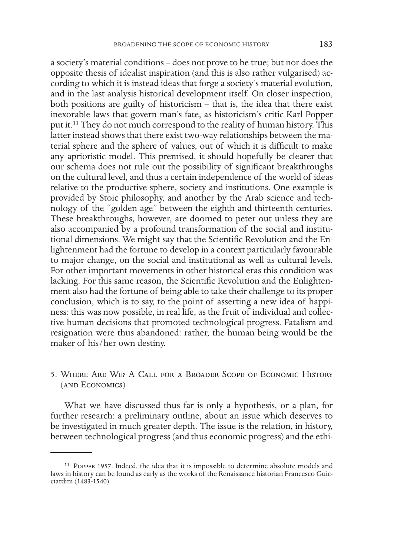a society's material conditions – does not prove to be true; but nor does the opposite thesis of idealist inspiration (and this is also rather vulgarised) according to which it is instead ideas that forge a society's material evolution, and in the last analysis historical development itself. On closer inspection, both positions are guilty of historicism – that is, the idea that there exist inexorable laws that govern man's fate, as historicism's critic Karl Popper put it.11 They do not much correspond to the reality of human history. This latter instead shows that there exist two-way relationships between the material sphere and the sphere of values, out of which it is difficult to make any aprioristic model. This premised, it should hopefully be clearer that our schema does not rule out the possibility of significant breakthroughs on the cultural level, and thus a certain independence of the world of ideas relative to the productive sphere, society and institutions. One example is provided by Stoic philosophy, and another by the Arab science and technology of the "golden age" between the eighth and thirteenth centuries. These breakthroughs, however, are doomed to peter out unless they are also accompanied by a profound transformation of the social and institutional dimensions. We might say that the Scientific Revolution and the Enlightenment had the fortune to develop in a context particularly favourable to major change, on the social and institutional as well as cultural levels. For other important movements in other historical eras this condition was lacking. For this same reason, the Scientific Revolution and the Enlightenment also had the fortune of being able to take their challenge to its proper conclusion, which is to say, to the point of asserting a new idea of happiness: this was now possible, in real life, as the fruit of individual and collective human decisions that promoted technological progress. Fatalism and resignation were thus abandoned: rather, the human being would be the maker of his/her own destiny.

5. Where Are We? A Call for a Broader Scope of Economic History (and Economics)

What we have discussed thus far is only a hypothesis, or a plan, for further research: a preliminary outline, about an issue which deserves to be investigated in much greater depth. The issue is the relation, in history, between technological progress (and thus economic progress) and the ethi-

<sup>11</sup> Popper 1957. Indeed, the idea that it is impossible to determine absolute models and laws in history can be found as early as the works of the Renaissance historian Francesco Guicciardini (1483-1540).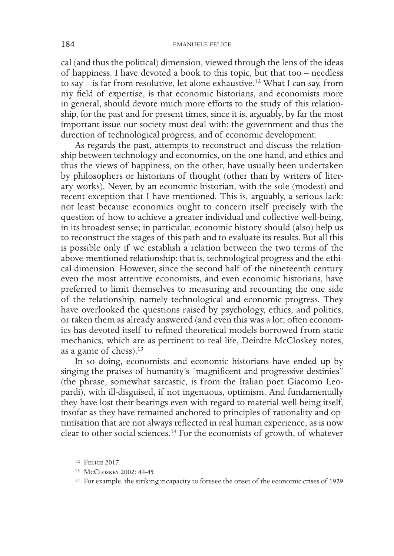cal (and thus the political) dimension, viewed through the lens of the ideas of happiness. I have devoted a book to this topic, but that too – needless to say – is far from resolutive, let alone exhaustive.12 What I can say, from my field of expertise, is that economic historians, and economists more in general, should devote much more efforts to the study of this relationship, for the past and for present times, since it is, arguably, by far the most important issue our society must deal with: the government and thus the direction of technological progress, and of economic development.

As regards the past, attempts to reconstruct and discuss the relationship between technology and economics, on the one hand, and ethics and thus the views of happiness, on the other, have usually been undertaken by philosophers or historians of thought (other than by writers of literary works). Never, by an economic historian, with the sole (modest) and recent exception that I have mentioned. This is, arguably, a serious lack: not least because economics ought to concern itself precisely with the question of how to achieve a greater individual and collective well-being, in its broadest sense; in particular, economic history should (also) help us to reconstruct the stages of this path and to evaluate its results. But all this is possible only if we establish a relation between the two terms of the above-mentioned relationship: that is, technological progress and the ethical dimension. However, since the second half of the nineteenth century even the most attentive economists, and even economic historians, have preferred to limit themselves to measuring and recounting the one side of the relationship, namely technological and economic progress. They have overlooked the questions raised by psychology, ethics, and politics, or taken them as already answered (and even this was a lot; often economics has devoted itself to refined theoretical models borrowed from static mechanics, which are as pertinent to real life, Deirdre McCloskey notes, as a game of chess). $13$ 

In so doing, economists and economic historians have ended up by singing the praises of humanity's "magnificent and progressive destinies" (the phrase, somewhat sarcastic, is from the Italian poet Giacomo Leopardi), with ill-disguised, if not ingenuous, optimism. And fundamentally they have lost their bearings even with regard to material well-being itself, insofar as they have remained anchored to principles of rationality and optimisation that are not always reflected in real human experience, as is now clear to other social sciences.14 For the economists of growth, of whatever

<sup>12</sup> Felice 2017.

<sup>13</sup> McCloskey 2002: 44-45.

<sup>14</sup> For example, the striking incapacity to foresee the onset of the economic crises of 1929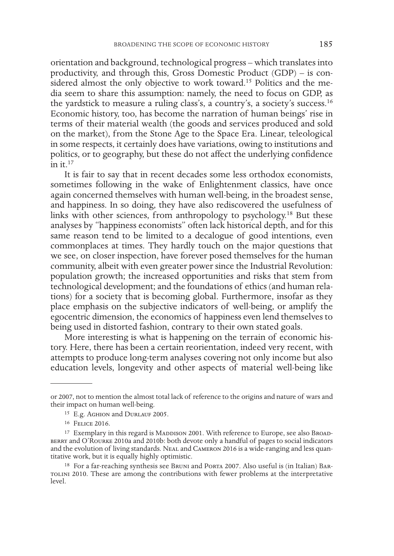orientation and background, technological progress – which translates into productivity, and through this, Gross Domestic Product (GDP) – is considered almost the only objective to work toward.<sup>15</sup> Politics and the media seem to share this assumption: namely, the need to focus on GDP, as the yardstick to measure a ruling class's, a country's, a society's success.16 Economic history, too, has become the narration of human beings' rise in terms of their material wealth (the goods and services produced and sold on the market), from the Stone Age to the Space Era. Linear, teleological in some respects, it certainly does have variations, owing to institutions and politics, or to geography, but these do not affect the underlying confidence  $\sin$  it.<sup>17</sup>

It is fair to say that in recent decades some less orthodox economists, sometimes following in the wake of Enlightenment classics, have once again concerned themselves with human well-being, in the broadest sense, and happiness. In so doing, they have also rediscovered the usefulness of links with other sciences, from anthropology to psychology.<sup>18</sup> But these analyses by "happiness economists" often lack historical depth, and for this same reason tend to be limited to a decalogue of good intentions, even commonplaces at times. They hardly touch on the major questions that we see, on closer inspection, have forever posed themselves for the human community, albeit with even greater power since the Industrial Revolution: population growth; the increased opportunities and risks that stem from technological development; and the foundations of ethics (and human relations) for a society that is becoming global. Furthermore, insofar as they place emphasis on the subjective indicators of well-being, or amplify the egocentric dimension, the economics of happiness even lend themselves to being used in distorted fashion, contrary to their own stated goals.

More interesting is what is happening on the terrain of economic history. Here, there has been a certain reorientation, indeed very recent, with attempts to produce long-term analyses covering not only income but also education levels, longevity and other aspects of material well-being like

or 2007, not to mention the almost total lack of reference to the origins and nature of wars and their impact on human well-being.

<sup>&</sup>lt;sup>15</sup> E.g. AGHION and DURLAUF 2005.

<sup>16</sup> Felice 2016.

<sup>&</sup>lt;sup>17</sup> Exemplary in this regard is MADDISON 2001. With reference to Europe, see also BROADberry and O'Rourke 2010a and 2010b: both devote only a handful of pages to social indicators and the evolution of living standards. Neal and Cameron 2016 is a wide-ranging and less quantitative work, but it is equally highly optimistic.

<sup>&</sup>lt;sup>18</sup> For a far-reaching synthesis see BRUNI and PORTA 2007. Also useful is (in Italian) BARtolini 2010. These are among the contributions with fewer problems at the interpretative level.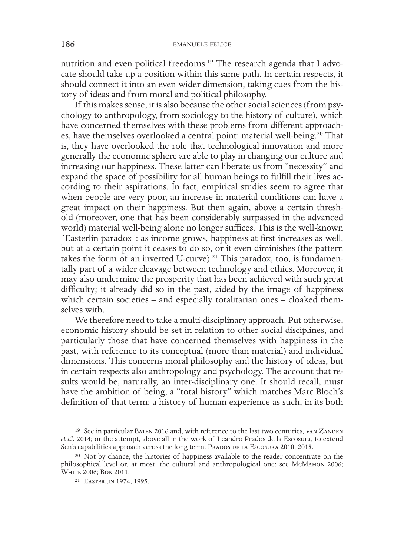nutrition and even political freedoms.19 The research agenda that I advocate should take up a position within this same path. In certain respects, it should connect it into an even wider dimension, taking cues from the history of ideas and from moral and political philosophy.

If this makes sense, it is also because the other social sciences (from psychology to anthropology, from sociology to the history of culture), which have concerned themselves with these problems from different approaches, have themselves overlooked a central point: material well-being.<sup>20</sup> That is, they have overlooked the role that technological innovation and more generally the economic sphere are able to play in changing our culture and increasing our happiness. These latter can liberate us from "necessity" and expand the space of possibility for all human beings to fulfill their lives according to their aspirations. In fact, empirical studies seem to agree that when people are very poor, an increase in material conditions can have a great impact on their happiness. But then again, above a certain threshold (moreover, one that has been considerably surpassed in the advanced world) material well-being alone no longer suffices. This is the well-known "Easterlin paradox": as income grows, happiness at first increases as well, but at a certain point it ceases to do so, or it even diminishes (the pattern takes the form of an inverted U-curve).<sup>21</sup> This paradox, too, is fundamentally part of a wider cleavage between technology and ethics. Moreover, it may also undermine the prosperity that has been achieved with such great difficulty; it already did so in the past, aided by the image of happiness which certain societies – and especially totalitarian ones – cloaked themselves with.

We therefore need to take a multi-disciplinary approach. Put otherwise, economic history should be set in relation to other social disciplines, and particularly those that have concerned themselves with happiness in the past, with reference to its conceptual (more than material) and individual dimensions. This concerns moral philosophy and the history of ideas, but in certain respects also anthropology and psychology. The account that results would be, naturally, an inter-disciplinary one. It should recall, must have the ambition of being, a "total history" which matches Marc Bloch's definition of that term: a history of human experience as such, in its both

<sup>&</sup>lt;sup>19</sup> See in particular Baten 2016 and, with reference to the last two centuries, van ZANDEN *et al.* 2014; or the attempt, above all in the work of Leandro Prados de la Escosura, to extend Sen's capabilities approach across the long term: PRADOS DE LA Escosura 2010, 2015.

<sup>20</sup> Not by chance, the histories of happiness available to the reader concentrate on the philosophical level or, at most, the cultural and anthropological one: see McMahon 2006; WHITE 2006; BOK 2011.

<sup>21</sup> Easterlin 1974, 1995.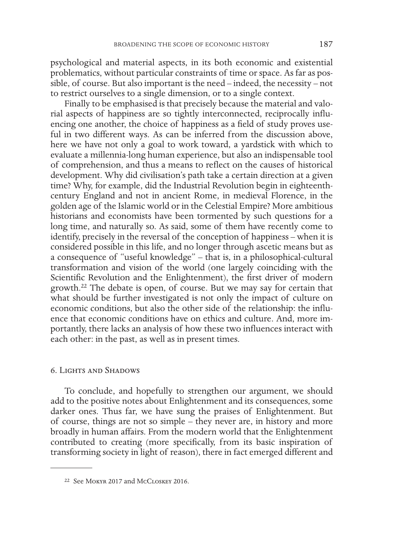psychological and material aspects, in its both economic and existential problematics, without particular constraints of time or space. As far as possible, of course. But also important is the need – indeed, the necessity – not to restrict ourselves to a single dimension, or to a single context.

Finally to be emphasised is that precisely because the material and valorial aspects of happiness are so tightly interconnected, reciprocally influencing one another, the choice of happiness as a field of study proves useful in two different ways. As can be inferred from the discussion above, here we have not only a goal to work toward, a yardstick with which to evaluate a millennia-long human experience, but also an indispensable tool of comprehension, and thus a means to reflect on the causes of historical development. Why did civilisation's path take a certain direction at a given time? Why, for example, did the Industrial Revolution begin in eighteenthcentury England and not in ancient Rome, in medieval Florence, in the golden age of the Islamic world or in the Celestial Empire? More ambitious historians and economists have been tormented by such questions for a long time, and naturally so. As said, some of them have recently come to identify, precisely in the reversal of the conception of happiness – when it is considered possible in this life, and no longer through ascetic means but as a consequence of "useful knowledge" – that is, in a philosophical-cultural transformation and vision of the world (one largely coinciding with the Scientific Revolution and the Enlightenment), the first driver of modern growth.22 The debate is open, of course. But we may say for certain that what should be further investigated is not only the impact of culture on economic conditions, but also the other side of the relationship: the influence that economic conditions have on ethics and culture. And, more importantly, there lacks an analysis of how these two influences interact with each other: in the past, as well as in present times.

#### 6. Lights and Shadows

To conclude, and hopefully to strengthen our argument, we should add to the positive notes about Enlightenment and its consequences, some darker ones. Thus far, we have sung the praises of Enlightenment. But of course, things are not so simple – they never are, in history and more broadly in human affairs. From the modern world that the Enlightenment contributed to creating (more specifically, from its basic inspiration of transforming society in light of reason), there in fact emerged different and

<sup>22</sup> See Mokyr 2017 and McCloskey 2016.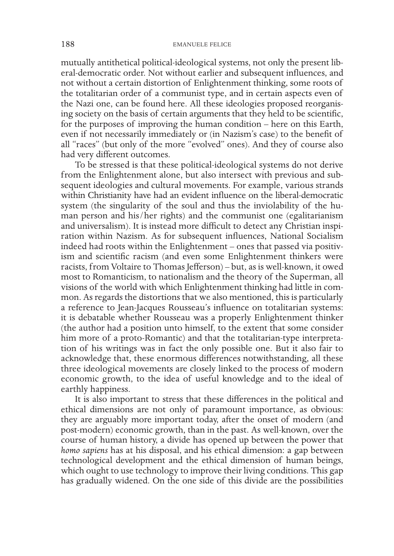mutually antithetical political-ideological systems, not only the present liberal-democratic order. Not without earlier and subsequent influences, and not without a certain distortion of Enlightenment thinking, some roots of the totalitarian order of a communist type, and in certain aspects even of the Nazi one, can be found here. All these ideologies proposed reorganising society on the basis of certain arguments that they held to be scientific, for the purposes of improving the human condition – here on this Earth, even if not necessarily immediately or (in Nazism's case) to the benefit of all "races" (but only of the more "evolved" ones). And they of course also had very different outcomes.

To be stressed is that these political-ideological systems do not derive from the Enlightenment alone, but also intersect with previous and subsequent ideologies and cultural movements. For example, various strands within Christianity have had an evident influence on the liberal-democratic system (the singularity of the soul and thus the inviolability of the human person and his/her rights) and the communist one (egalitarianism and universalism). It is instead more difficult to detect any Christian inspiration within Nazism. As for subsequent influences, National Socialism indeed had roots within the Enlightenment – ones that passed via positivism and scientific racism (and even some Enlightenment thinkers were racists, from Voltaire to Thomas Jefferson) – but, as is well-known, it owed most to Romanticism, to nationalism and the theory of the Superman, all visions of the world with which Enlightenment thinking had little in common. As regards the distortions that we also mentioned, this is particularly a reference to Jean-Jacques Rousseau's influence on totalitarian systems: it is debatable whether Rousseau was a properly Enlightenment thinker (the author had a position unto himself, to the extent that some consider him more of a proto-Romantic) and that the totalitarian-type interpretation of his writings was in fact the only possible one. But it also fair to acknowledge that, these enormous differences notwithstanding, all these three ideological movements are closely linked to the process of modern economic growth, to the idea of useful knowledge and to the ideal of earthly happiness.

It is also important to stress that these differences in the political and ethical dimensions are not only of paramount importance, as obvious: they are arguably more important today, after the onset of modern (and post-modern) economic growth, than in the past. As well-known, over the course of human history, a divide has opened up between the power that *homo sapiens* has at his disposal, and his ethical dimension: a gap between technological development and the ethical dimension of human beings, which ought to use technology to improve their living conditions. This gap has gradually widened. On the one side of this divide are the possibilities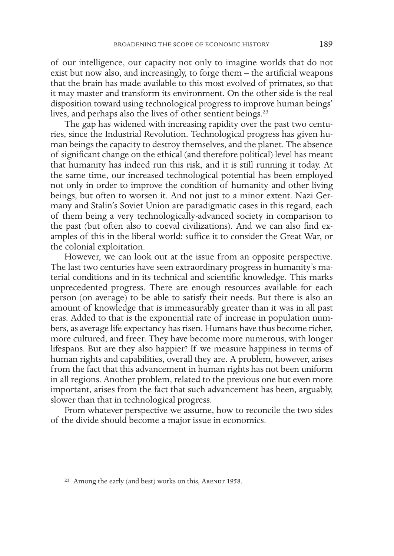of our intelligence, our capacity not only to imagine worlds that do not exist but now also, and increasingly, to forge them – the artificial weapons that the brain has made available to this most evolved of primates, so that it may master and transform its environment. On the other side is the real disposition toward using technological progress to improve human beings' lives, and perhaps also the lives of other sentient beings.<sup>23</sup>

The gap has widened with increasing rapidity over the past two centuries, since the Industrial Revolution. Technological progress has given human beings the capacity to destroy themselves, and the planet. The absence of significant change on the ethical (and therefore political) level has meant that humanity has indeed run this risk, and it is still running it today. At the same time, our increased technological potential has been employed not only in order to improve the condition of humanity and other living beings, but often to worsen it. And not just to a minor extent. Nazi Germany and Stalin's Soviet Union are paradigmatic cases in this regard, each of them being a very technologically-advanced society in comparison to the past (but often also to coeval civilizations). And we can also find examples of this in the liberal world: suffice it to consider the Great War, or the colonial exploitation.

However, we can look out at the issue from an opposite perspective. The last two centuries have seen extraordinary progress in humanity's material conditions and in its technical and scientific knowledge. This marks unprecedented progress. There are enough resources available for each person (on average) to be able to satisfy their needs. But there is also an amount of knowledge that is immeasurably greater than it was in all past eras. Added to that is the exponential rate of increase in population numbers, as average life expectancy has risen. Humans have thus become richer, more cultured, and freer. They have become more numerous, with longer lifespans. But are they also happier? If we measure happiness in terms of human rights and capabilities, overall they are. A problem, however, arises from the fact that this advancement in human rights has not been uniform in all regions. Another problem, related to the previous one but even more important, arises from the fact that such advancement has been, arguably, slower than that in technological progress.

From whatever perspective we assume, how to reconcile the two sides of the divide should become a major issue in economics.

<sup>&</sup>lt;sup>23</sup> Among the early (and best) works on this, ARENDT 1958.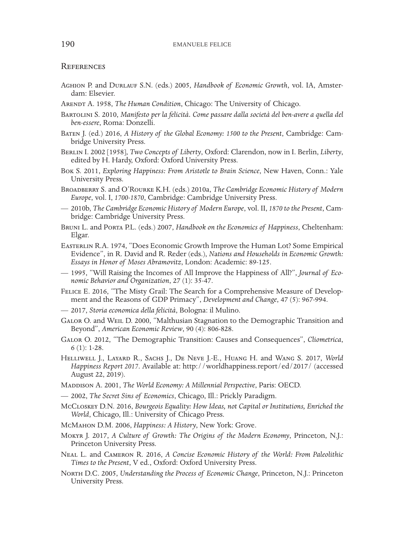#### **REFERENCES**

- Aghion P. and Durlauf S.N. (eds.) 2005, *Handbook of Economic Growth*, vol. IA, Amster- dam: Elsevier.
- Arendt A. 1958, *The Human Condition*, Chicago: The University of Chicago.
- Bartolini S. 2010, *Manifesto per la felicità. Come passare dalla società del ben-avere a quella del ben-essere*, Roma: Donzelli.
- Baten J. (ed.) 2016, *A History of the Global Economy: 1500 to the Present*, Cambridge: Cam- bridge University Press.
- Berlin I. 2002 [1958], *Two Concepts of Liberty*, Oxford: Clarendon, now in I. Berlin, *Liberty*, edited by H. Hardy, Oxford: Oxford University Press.
- Bok S. 2011, *Exploring Happiness: From Aristotle to Brain Science*, New Haven, Conn.: Yale University Press.
- Broadberry S. and O'Rourke K.H. (eds.) 2010a, *The Cambridge Economic History of Modern Europe*, vol. I, *1700-1870*, Cambridge: Cambridge University Press.
- 2010b, *The Cambridge Economic History of Modern Europe*, vol. II, *1870 to the Present*, Cam- bridge: Cambridge University Press.
- Bruni L. and Porta P.L. (eds.) 2007, *Handbook on the Economics of Happiness*, Cheltenham: Elgar.
- Easterlin R.A. 1974, "Does Economic Growth Improve the Human Lot? Some Empirical Evidence", in R. David and R. Reder (eds.), *N*a*tions and Households in Economic Growth: Essays in Honor of Moses Abramovitz*, London: Academic: 89-125.
- 1995, "Will Raising the Incomes of All Improve the Happiness of All?", *Journal of Eco- nomic Behavior and Organization*, 27 (1): 35-47.
- Felice E. 2016, "The Misty Grail: The Search for a Comprehensive Measure of Develop- ment and the Reasons of GDP Primacy", *Development and Change*, 47 (5): 967-994.
- 2017, *Storia economica della felicità*, Bologna: il Mulino.
- GALOR O. and WEIL D. 2000, "Malthusian Stagnation to the Demographic Transition and Beyond", *American Economic Review*, 90 (4): 806-828.
- Galor O. 2012, "The Demographic Transition: Causes and Consequences", *Cliometrica*, 6 (1): 1-28.
- Helliwell J., Layard R., Sachs J., De Neve J.-E., Huang H. and Wang S. 2017, *World Happiness Report 2017*. Available at: http://worldhappiness.report/ed/2017/ (accessed August 22, 2019).
- Maddison A. 2001, *The World Economy: A Millennial Perspective*, Paris: OECD.
- 2002, *The Secret Sins of Economics*, Chicago, Ill.: Prickly Paradigm.
- McCloskey D.N. 2016, *Bourgeois Equality: How Ideas, not Capital or Institutions, Enriched the World*, Chicago, Ill.: University of Chicago Press.
- McMahon D.M. 2006, *Happiness: A History*, New York: Grove.
- Mokyr J. 2017, *A Culture of Growth: The Origins of the Modern Economy*, Princeton, N.J.: Princeton University Press.
- Neal L. and Cameron R. 2016, *A Concise Economic History of the World: From Paleolithic Times to the Present*, V ed., Oxford: Oxford University Press.
- North D.C. 2005, *Understanding the Process of Economic Change*, Princeton, N.J.: Princeton University Press.